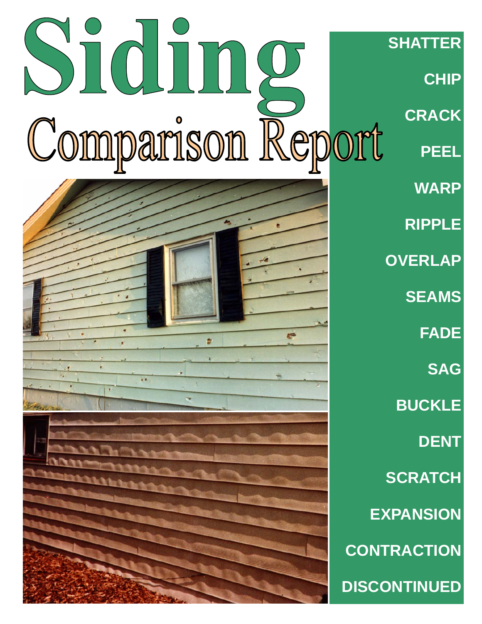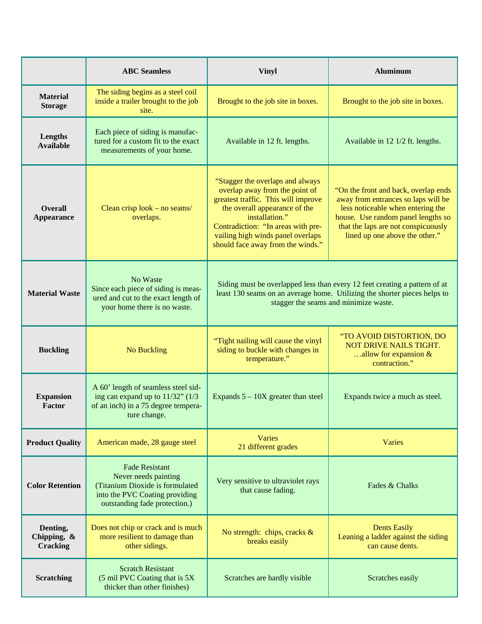|                                               | <b>ABC</b> Seamless                                                                                                                                 | <b>Vinyl</b>                                                                                                                                                                                                                                                                 | <b>Aluminum</b>                                                                                                                                                                                                                 |
|-----------------------------------------------|-----------------------------------------------------------------------------------------------------------------------------------------------------|------------------------------------------------------------------------------------------------------------------------------------------------------------------------------------------------------------------------------------------------------------------------------|---------------------------------------------------------------------------------------------------------------------------------------------------------------------------------------------------------------------------------|
| <b>Material</b><br><b>Storage</b>             | The siding begins as a steel coil<br>inside a trailer brought to the job<br>site.                                                                   | Brought to the job site in boxes.                                                                                                                                                                                                                                            | Brought to the job site in boxes.                                                                                                                                                                                               |
| Lengths<br><b>Available</b>                   | Each piece of siding is manufac-<br>tured for a custom fit to the exact<br>measurements of your home.                                               | Available in 12 ft. lengths.                                                                                                                                                                                                                                                 | Available in 12 1/2 ft. lengths.                                                                                                                                                                                                |
| <b>Overall</b><br><b>Appearance</b>           | Clean crisp look – no seams/<br>overlaps.                                                                                                           | "Stagger the overlaps and always<br>overlap away from the point of<br>greatest traffic. This will improve<br>the overall appearance of the<br>installation."<br>Contradiction: "In areas with pre-<br>vailing high winds panel overlaps<br>should face away from the winds." | "On the front and back, overlap ends<br>away from entrances so laps will be<br>less noticeable when entering the<br>house. Use random panel lengths so<br>that the laps are not conspicuously<br>lined up one above the other." |
| <b>Material Waste</b>                         | No Waste<br>Since each piece of siding is meas-<br>ured and cut to the exact length of<br>your home there is no waste.                              | Siding must be overlapped less than every 12 feet creating a pattern of at<br>least 130 seams on an average home. Utilizing the shorter pieces helps to<br>stagger the seams and minimize waste.                                                                             |                                                                                                                                                                                                                                 |
| <b>Buckling</b>                               | <b>No Buckling</b>                                                                                                                                  | "Tight nailing will cause the vinyl<br>siding to buckle with changes in<br>temperature."                                                                                                                                                                                     | "TO AVOID DISTORTION, DO<br><b>NOT DRIVE NAILS TIGHT.</b><br>allow for expansion &<br>contraction."                                                                                                                             |
| <b>Expansion</b><br><b>Factor</b>             | A 60' length of seamless steel sid-<br>ing can expand up to $11/32$ " ( $1/3$<br>of an inch) in a 75 degree tempera-<br>ture change.                | Expands $5 - 10X$ greater than steel                                                                                                                                                                                                                                         | Expands twice a much as steel.                                                                                                                                                                                                  |
| <b>Product Quality</b>                        | American made, 28 gauge steel                                                                                                                       | Varies<br>21 different grades                                                                                                                                                                                                                                                | Varies                                                                                                                                                                                                                          |
| <b>Color Retention</b>                        | <b>Fade Resistant</b><br>Never needs painting<br>(Titanium Dioxide is formulated<br>into the PVC Coating providing<br>outstanding fade protection.) | Very sensitive to ultraviolet rays<br>that cause fading.                                                                                                                                                                                                                     | Fades & Chalks                                                                                                                                                                                                                  |
| Denting,<br>Chipping, $\&$<br><b>Cracking</b> | Does not chip or crack and is much<br>more resilient to damage than<br>other sidings.                                                               | No strength: chips, cracks $\&$<br>breaks easily                                                                                                                                                                                                                             | <b>Dents Easily</b><br>Leaning a ladder against the siding<br>can cause dents.                                                                                                                                                  |
| <b>Scratching</b>                             | <b>Scratch Resistant</b><br>(5 mil PVC Coating that is 5X)<br>thicker than other finishes)                                                          | Scratches are hardly visible                                                                                                                                                                                                                                                 | Scratches easily                                                                                                                                                                                                                |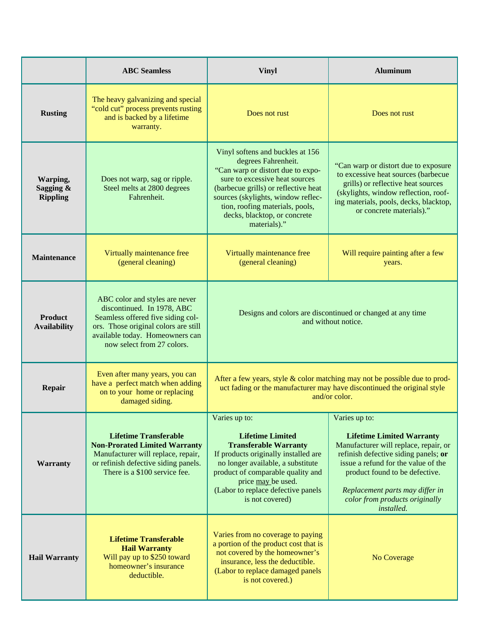|                                          | <b>ABC</b> Seamless                                                                                                                                                                                        | <b>Vinyl</b>                                                                                                                                                                                                                                                                                    | <b>Aluminum</b>                                                                                                                                                                                                                                                                                |
|------------------------------------------|------------------------------------------------------------------------------------------------------------------------------------------------------------------------------------------------------------|-------------------------------------------------------------------------------------------------------------------------------------------------------------------------------------------------------------------------------------------------------------------------------------------------|------------------------------------------------------------------------------------------------------------------------------------------------------------------------------------------------------------------------------------------------------------------------------------------------|
| <b>Rusting</b>                           | The heavy galvanizing and special<br>"cold cut" process prevents rusting<br>and is backed by a lifetime<br>warranty.                                                                                       | Does not rust                                                                                                                                                                                                                                                                                   | Does not rust                                                                                                                                                                                                                                                                                  |
| Warping,<br>Sagging &<br><b>Rippling</b> | Does not warp, sag or ripple.<br>Steel melts at 2800 degrees<br>Fahrenheit.                                                                                                                                | Vinyl softens and buckles at 156<br>degrees Fahrenheit.<br>"Can warp or distort due to expo-<br>sure to excessive heat sources<br>(barbecue grills) or reflective heat<br>sources (skylights, window reflec-<br>tion, roofing materials, pools,<br>decks, blacktop, or concrete<br>materials)." | "Can warp or distort due to exposure<br>to excessive heat sources (barbecue<br>grills) or reflective heat sources<br>(skylights, window reflection, roof-<br>ing materials, pools, decks, blacktop,<br>or concrete materials)."                                                                |
| <b>Maintenance</b>                       | Virtually maintenance free<br>(general cleaning)                                                                                                                                                           | Virtually maintenance free<br>(general cleaning)                                                                                                                                                                                                                                                | Will require painting after a few<br>years.                                                                                                                                                                                                                                                    |
| <b>Product</b><br><b>Availability</b>    | ABC color and styles are never<br>discontinued. In 1978, ABC<br>Seamless offered five siding col-<br>ors. Those original colors are still<br>available today. Homeowners can<br>now select from 27 colors. | Designs and colors are discontinued or changed at any time<br>and without notice.                                                                                                                                                                                                               |                                                                                                                                                                                                                                                                                                |
| <b>Repair</b>                            | Even after many years, you can<br>have a perfect match when adding<br>on to your home or replacing<br>damaged siding.                                                                                      | After a few years, style & color matching may not be possible due to prod-<br>uct fading or the manufacturer may have discontinued the original style<br>and/or color.                                                                                                                          |                                                                                                                                                                                                                                                                                                |
| Warranty                                 | <b>Lifetime Transferable</b><br><b>Non-Prorated Limited Warranty</b><br>Manufacturer will replace, repair,<br>or refinish defective siding panels.<br>There is a \$100 service fee.                        | Varies up to:<br><b>Lifetime Limited</b><br><b>Transferable Warranty</b><br>If products originally installed are<br>no longer available, a substitute<br>product of comparable quality and<br>price may be used.<br>(Labor to replace defective panels<br>is not covered)                       | Varies up to:<br><b>Lifetime Limited Warranty</b><br>Manufacturer will replace, repair, or<br>refinish defective siding panels; or<br>issue a refund for the value of the<br>product found to be defective.<br>Replacement parts may differ in<br>color from products originally<br>installed. |
| <b>Hail Warranty</b>                     | <b>Lifetime Transferable</b><br><b>Hail Warranty</b><br>Will pay up to \$250 toward<br>homeowner's insurance<br>deductible.                                                                                | Varies from no coverage to paying<br>a portion of the product cost that is<br>not covered by the homeowner's<br>insurance, less the deductible.<br>(Labor to replace damaged panels<br>is not covered.)                                                                                         | No Coverage                                                                                                                                                                                                                                                                                    |